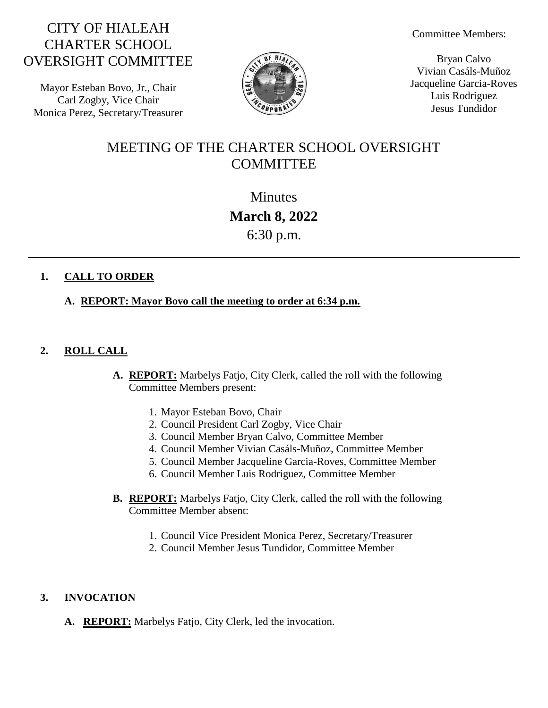# CITY OF HIALEAH CHARTER SCHOOL OVERSIGHT COMMITTEE

Mayor Esteban Bovo, Jr., Chair Carl Zogby, Vice Chair Monica Perez, Secretary/Treasurer



Committee Members:

Bryan Calvo Vivian Casáls-Muñoz Jacqueline Garcia-Roves Luis Rodriguez Jesus Tundidor

# MEETING OF THE CHARTER SCHOOL OVERSIGHT **COMMITTEE**

**Minutes March 8, 2022** 6:30 p.m.

## **1. CALL TO ORDER**

## **A. REPORT: Mayor Bovo call the meeting to order at 6:34 p.m.**

## **2. ROLL CALL**

- **A. REPORT:** Marbelys Fatjo, City Clerk, called the roll with the following Committee Members present:
	- 1. Mayor Esteban Bovo, Chair
	- 2. Council President Carl Zogby, Vice Chair
	- 3. Council Member Bryan Calvo, Committee Member
	- 4. Council Member Vivian Casáls-Muñoz, Committee Member
	- 5. Council Member Jacqueline Garcia-Roves, Committee Member
	- 6. Council Member Luis Rodriguez, Committee Member
- **B. REPORT:** Marbelys Fatjo, City Clerk, called the roll with the following Committee Member absent:
	- 1. Council Vice President Monica Perez, Secretary/Treasurer
	- 2. Council Member Jesus Tundidor, Committee Member

### **3. INVOCATION**

**A. REPORT:** Marbelys Fatjo, City Clerk, led the invocation.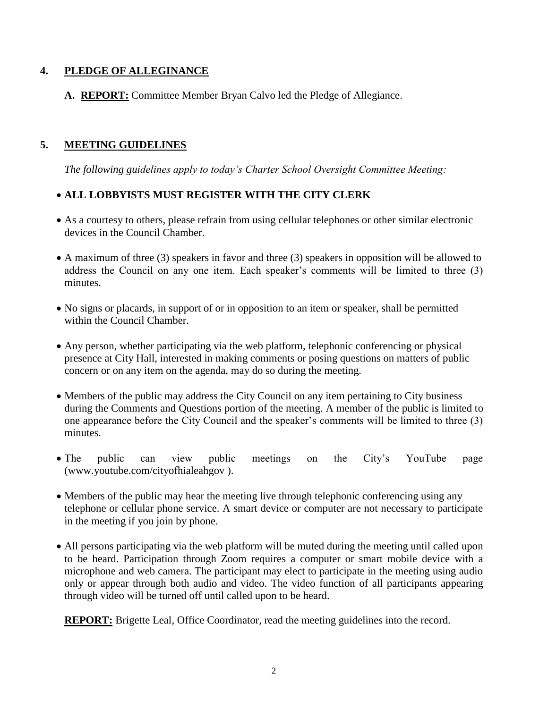## **4. PLEDGE OF ALLEGINANCE**

**A. REPORT:** Committee Member Bryan Calvo led the Pledge of Allegiance.

# **5. MEETING GUIDELINES**

*The following guidelines apply to today's Charter School Oversight Committee Meeting:*

## **ALL LOBBYISTS MUST REGISTER WITH THE CITY CLERK**

- As a courtesy to others, please refrain from using cellular telephones or other similar electronic devices in the Council Chamber.
- A maximum of three (3) speakers in favor and three (3) speakers in opposition will be allowed to address the Council on any one item. Each speaker's comments will be limited to three (3) minutes.
- No signs or placards, in support of or in opposition to an item or speaker, shall be permitted within the Council Chamber.
- Any person, whether participating via the web platform, telephonic conferencing or physical presence at City Hall, interested in making comments or posing questions on matters of public concern or on any item on the agenda, may do so during the meeting.
- Members of the public may address the City Council on any item pertaining to City business during the Comments and Questions portion of the meeting. A member of the public is limited to one appearance before the City Council and the speaker's comments will be limited to three (3) minutes.
- The public can view public meetings on the City's YouTube page (www.youtube.com/cityofhialeahgov ).
- Members of the public may hear the meeting live through telephonic conferencing using any telephone or cellular phone service. A smart device or computer are not necessary to participate in the meeting if you join by phone.
- All persons participating via the web platform will be muted during the meeting until called upon to be heard. Participation through Zoom requires a computer or smart mobile device with a microphone and web camera. The participant may elect to participate in the meeting using audio only or appear through both audio and video. The video function of all participants appearing through video will be turned off until called upon to be heard.

**REPORT:** Brigette Leal, Office Coordinator, read the meeting guidelines into the record.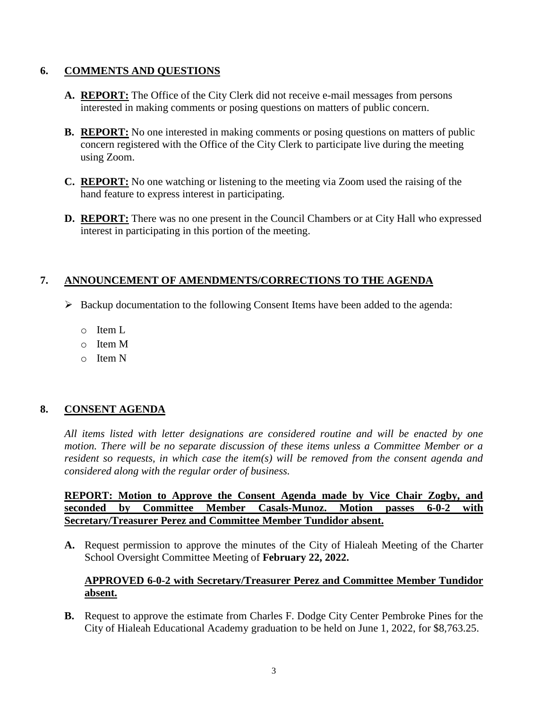#### **6. COMMENTS AND QUESTIONS**

- **A. REPORT:** The Office of the City Clerk did not receive e-mail messages from persons interested in making comments or posing questions on matters of public concern.
- **B. REPORT:** No one interested in making comments or posing questions on matters of public concern registered with the Office of the City Clerk to participate live during the meeting using Zoom.
- **C. REPORT:** No one watching or listening to the meeting via Zoom used the raising of the hand feature to express interest in participating.
- **D. REPORT:** There was no one present in the Council Chambers or at City Hall who expressed interest in participating in this portion of the meeting.

### **7. ANNOUNCEMENT OF AMENDMENTS/CORRECTIONS TO THE AGENDA**

- $\triangleright$  Backup documentation to the following Consent Items have been added to the agenda:
	- o Item L
	- o Item M
	- o Item N

### **8. CONSENT AGENDA**

*All items listed with letter designations are considered routine and will be enacted by one motion. There will be no separate discussion of these items unless a Committee Member or a resident so requests, in which case the item(s) will be removed from the consent agenda and considered along with the regular order of business.*

#### **REPORT: Motion to Approve the Consent Agenda made by Vice Chair Zogby, and seconded by Committee Member Casals-Munoz. Motion passes 6-0-2 with Secretary/Treasurer Perez and Committee Member Tundidor absent.**

**A.** Request permission to approve the minutes of the City of Hialeah Meeting of the Charter School Oversight Committee Meeting of **February 22, 2022.**

### **APPROVED 6-0-2 with Secretary/Treasurer Perez and Committee Member Tundidor absent.**

**B.** Request to approve the estimate from Charles F. Dodge City Center Pembroke Pines for the City of Hialeah Educational Academy graduation to be held on June 1, 2022, for \$8,763.25.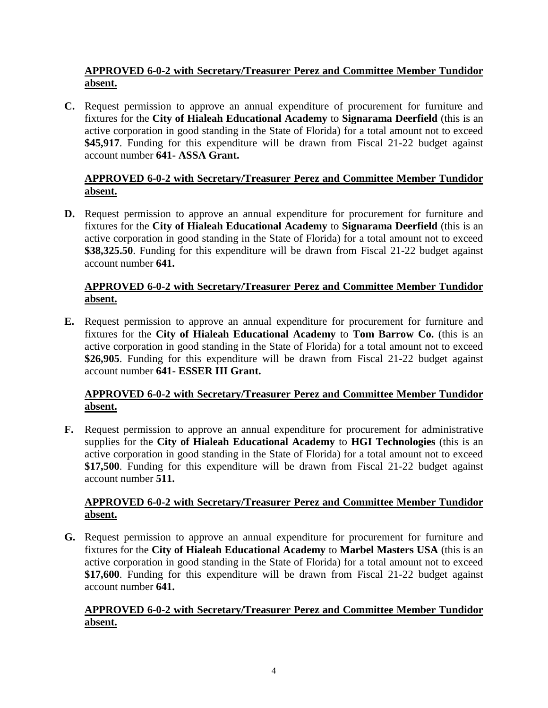## **APPROVED 6-0-2 with Secretary/Treasurer Perez and Committee Member Tundidor absent.**

**C.** Request permission to approve an annual expenditure of procurement for furniture and fixtures for the **City of Hialeah Educational Academy** to **Signarama Deerfield** (this is an active corporation in good standing in the State of Florida) for a total amount not to exceed **\$45,917**. Funding for this expenditure will be drawn from Fiscal 21-22 budget against account number **641- ASSA Grant.**

### **APPROVED 6-0-2 with Secretary/Treasurer Perez and Committee Member Tundidor absent.**

**D.** Request permission to approve an annual expenditure for procurement for furniture and fixtures for the **City of Hialeah Educational Academy** to **Signarama Deerfield** (this is an active corporation in good standing in the State of Florida) for a total amount not to exceed **\$38,325.50**. Funding for this expenditure will be drawn from Fiscal 21-22 budget against account number **641.**

## **APPROVED 6-0-2 with Secretary/Treasurer Perez and Committee Member Tundidor absent.**

**E.** Request permission to approve an annual expenditure for procurement for furniture and fixtures for the **City of Hialeah Educational Academy** to **Tom Barrow Co.** (this is an active corporation in good standing in the State of Florida) for a total amount not to exceed **\$26,905**. Funding for this expenditure will be drawn from Fiscal 21-22 budget against account number **641- ESSER III Grant.**

## **APPROVED 6-0-2 with Secretary/Treasurer Perez and Committee Member Tundidor absent.**

**F.** Request permission to approve an annual expenditure for procurement for administrative supplies for the **City of Hialeah Educational Academy** to **HGI Technologies** (this is an active corporation in good standing in the State of Florida) for a total amount not to exceed **\$17,500**. Funding for this expenditure will be drawn from Fiscal 21-22 budget against account number **511.**

## **APPROVED 6-0-2 with Secretary/Treasurer Perez and Committee Member Tundidor absent.**

**G.** Request permission to approve an annual expenditure for procurement for furniture and fixtures for the **City of Hialeah Educational Academy** to **Marbel Masters USA** (this is an active corporation in good standing in the State of Florida) for a total amount not to exceed **\$17,600**. Funding for this expenditure will be drawn from Fiscal 21-22 budget against account number **641.**

### **APPROVED 6-0-2 with Secretary/Treasurer Perez and Committee Member Tundidor absent.**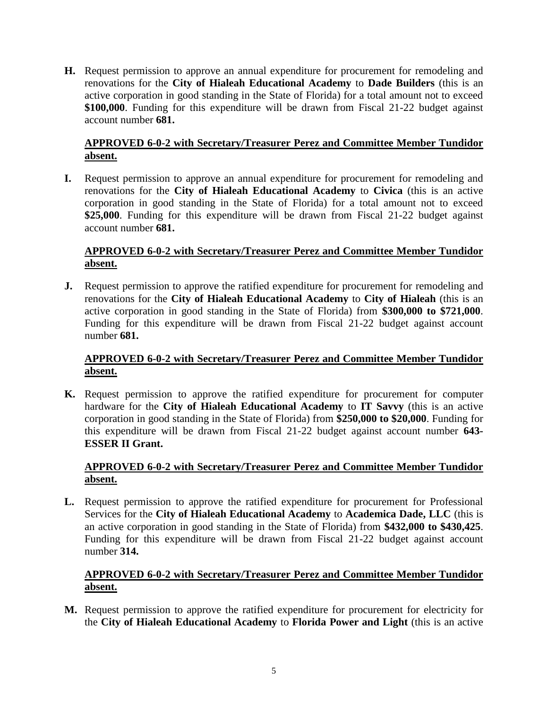**H.** Request permission to approve an annual expenditure for procurement for remodeling and renovations for the **City of Hialeah Educational Academy** to **Dade Builders** (this is an active corporation in good standing in the State of Florida) for a total amount not to exceed **\$100,000**. Funding for this expenditure will be drawn from Fiscal 21-22 budget against account number **681.**

## **APPROVED 6-0-2 with Secretary/Treasurer Perez and Committee Member Tundidor absent.**

**I.** Request permission to approve an annual expenditure for procurement for remodeling and renovations for the **City of Hialeah Educational Academy** to **Civica** (this is an active corporation in good standing in the State of Florida) for a total amount not to exceed **\$25,000**. Funding for this expenditure will be drawn from Fiscal 21-22 budget against account number **681.**

## **APPROVED 6-0-2 with Secretary/Treasurer Perez and Committee Member Tundidor absent.**

**J.** Request permission to approve the ratified expenditure for procurement for remodeling and renovations for the **City of Hialeah Educational Academy** to **City of Hialeah** (this is an active corporation in good standing in the State of Florida) from **\$300,000 to \$721,000**. Funding for this expenditure will be drawn from Fiscal 21-22 budget against account number **681.**

#### **APPROVED 6-0-2 with Secretary/Treasurer Perez and Committee Member Tundidor absent.**

**K.** Request permission to approve the ratified expenditure for procurement for computer hardware for the **City of Hialeah Educational Academy** to **IT Savvy** (this is an active corporation in good standing in the State of Florida) from **\$250,000 to \$20,000**. Funding for this expenditure will be drawn from Fiscal 21-22 budget against account number **643- ESSER II Grant.**

## **APPROVED 6-0-2 with Secretary/Treasurer Perez and Committee Member Tundidor absent.**

**L.** Request permission to approve the ratified expenditure for procurement for Professional Services for the **City of Hialeah Educational Academy** to **Academica Dade, LLC** (this is an active corporation in good standing in the State of Florida) from **\$432,000 to \$430,425**. Funding for this expenditure will be drawn from Fiscal 21-22 budget against account number **314.**

## **APPROVED 6-0-2 with Secretary/Treasurer Perez and Committee Member Tundidor absent.**

**M.** Request permission to approve the ratified expenditure for procurement for electricity for the **City of Hialeah Educational Academy** to **Florida Power and Light** (this is an active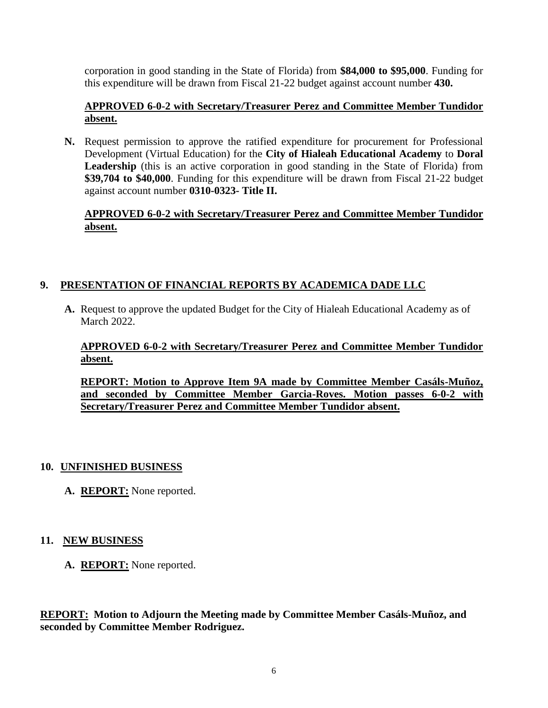corporation in good standing in the State of Florida) from **\$84,000 to \$95,000**. Funding for this expenditure will be drawn from Fiscal 21-22 budget against account number **430.**

### **APPROVED 6-0-2 with Secretary/Treasurer Perez and Committee Member Tundidor absent.**

**N.** Request permission to approve the ratified expenditure for procurement for Professional Development (Virtual Education) for the **City of Hialeah Educational Academy** to **Doral Leadership** (this is an active corporation in good standing in the State of Florida) from **\$39,704 to \$40,000**. Funding for this expenditure will be drawn from Fiscal 21-22 budget against account number **0310-0323- Title II.**

#### **APPROVED 6-0-2 with Secretary/Treasurer Perez and Committee Member Tundidor absent.**

## **9. PRESENTATION OF FINANCIAL REPORTS BY ACADEMICA DADE LLC**

**A.** Request to approve the updated Budget for the City of Hialeah Educational Academy as of March 2022.

## **APPROVED 6-0-2 with Secretary/Treasurer Perez and Committee Member Tundidor absent.**

**REPORT: Motion to Approve Item 9A made by Committee Member Casáls-Muñoz, and seconded by Committee Member Garcia-Roves. Motion passes 6-0-2 with Secretary/Treasurer Perez and Committee Member Tundidor absent.**

### **10. UNFINISHED BUSINESS**

**A. REPORT:** None reported.

## **11. NEW BUSINESS**

**A. REPORT:** None reported.

**REPORT: Motion to Adjourn the Meeting made by Committee Member Casáls-Muñoz, and seconded by Committee Member Rodriguez.**